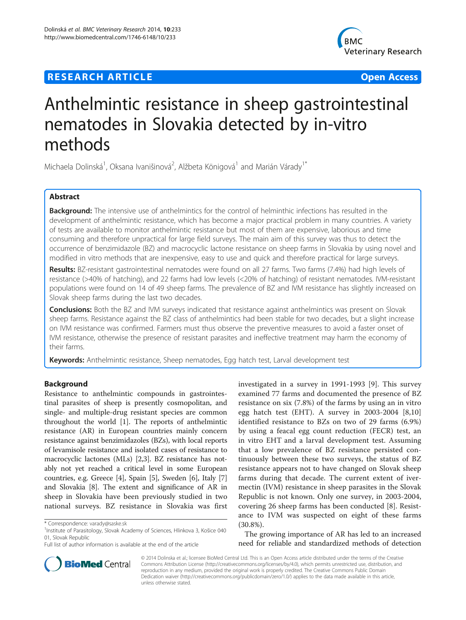# **RESEARCH ARTICLE Example 2014 12:30 The Contract of Contract Contract Contract Contract Contract Contract Contract Contract Contract Contract Contract Contract Contract Contract Contract Contract Contract Contract Contr**



# Anthelmintic resistance in sheep gastrointestinal nematodes in Slovakia detected by in-vitro methods

Michaela Dolinská<sup>1</sup>, Oksana Ivanišinová<sup>2</sup>, Alžbeta Königová<sup>1</sup> and Marián Várady<sup>1\*</sup>

# Abstract

Background: The intensive use of anthelmintics for the control of helminthic infections has resulted in the development of anthelmintic resistance, which has become a major practical problem in many countries. A variety of tests are available to monitor anthelmintic resistance but most of them are expensive, laborious and time consuming and therefore unpractical for large field surveys. The main aim of this survey was thus to detect the occurrence of benzimidazole (BZ) and macrocyclic lactone resistance on sheep farms in Slovakia by using novel and modified in vitro methods that are inexpensive, easy to use and quick and therefore practical for large surveys.

Results: BZ-resistant gastrointestinal nematodes were found on all 27 farms. Two farms (7.4%) had high levels of resistance (>40% of hatching), and 22 farms had low levels (<20% of hatching) of resistant nematodes. IVM-resistant populations were found on 14 of 49 sheep farms. The prevalence of BZ and IVM resistance has slightly increased on Slovak sheep farms during the last two decades.

**Conclusions:** Both the BZ and IVM surveys indicated that resistance against anthelmintics was present on Slovak sheep farms. Resistance against the BZ class of anthelmintics had been stable for two decades, but a slight increase on IVM resistance was confirmed. Farmers must thus observe the preventive measures to avoid a faster onset of IVM resistance, otherwise the presence of resistant parasites and ineffective treatment may harm the economy of their farms.

Keywords: Anthelmintic resistance, Sheep nematodes, Egg hatch test, Larval development test

# Background

Resistance to anthelmintic compounds in gastrointestinal parasites of sheep is presently cosmopolitan, and single- and multiple-drug resistant species are common throughout the world [[1](#page-3-0)]. The reports of anthelmintic resistance (AR) in European countries mainly concern resistance against benzimidazoles (BZs), with local reports of levamisole resistance and isolated cases of resistance to macrocyclic lactones (MLs) [\[2,3](#page-3-0)]. BZ resistance has notably not yet reached a critical level in some European countries, e.g. Greece [\[4](#page-3-0)], Spain [[5\]](#page-3-0), Sweden [[6\]](#page-3-0), Italy [[7](#page-3-0)] and Slovakia [[8\]](#page-3-0). The extent and significance of AR in sheep in Slovakia have been previously studied in two national surveys. BZ resistance in Slovakia was first

investigated in a survey in 1991-1993 [\[9](#page-3-0)]. This survey examined 77 farms and documented the presence of BZ resistance on six (7.8%) of the farms by using an in vitro egg hatch test (EHT). A survey in 2003-2004 [\[8,10](#page-3-0)] identified resistance to BZs on two of 29 farms (6.9%) by using a feacal egg count reduction (FECR) test, an in vitro EHT and a larval development test. Assuming that a low prevalence of BZ resistance persisted continuously between these two surveys, the status of BZ resistance appears not to have changed on Slovak sheep farms during that decade. The current extent of ivermectin (IVM) resistance in sheep parasites in the Slovak Republic is not known. Only one survey, in 2003-2004, covering 26 sheep farms has been conducted [[8\]](#page-3-0). Resistance to IVM was suspected on eight of these farms (30.8%).

The growing importance of AR has led to an increased need for reliable and standardized methods of detection



© 2014 Dolinska et al.; licensee BioMed Central Ltd. This is an Open Access article distributed under the terms of the Creative Commons Attribution License [\(http://creativecommons.org/licenses/by/4.0\)](http://creativecommons.org/licenses/by/4.0), which permits unrestricted use, distribution, and reproduction in any medium, provided the original work is properly credited. The Creative Commons Public Domain Dedication waiver [\(http://creativecommons.org/publicdomain/zero/1.0/](http://creativecommons.org/publicdomain/zero/1.0/)) applies to the data made available in this article, unless otherwise stated.

<sup>\*</sup> Correspondence: [varady@saske.sk](mailto:varady@saske.sk) <sup>1</sup>

<sup>&</sup>lt;sup>1</sup>Institute of Parasitology, Slovak Academy of Sciences, Hlinkova 3, Košice 040 01, Slovak Republic

Full list of author information is available at the end of the article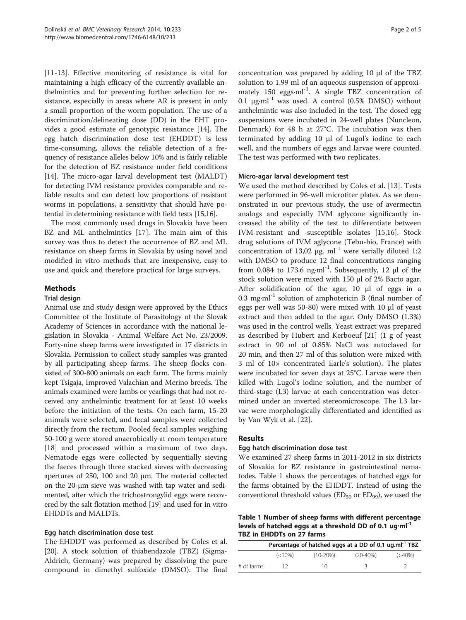[[11-13](#page-3-0)]. Effective monitoring of resistance is vital for maintaining a high efficacy of the currently available anthelmintics and for preventing further selection for resistance, especially in areas where AR is present in only a small proportion of the worm population. The use of a discrimination/delineating dose (DD) in the EHT provides a good estimate of genotypic resistance [\[14\]](#page-3-0). The egg hatch discrimination dose test (EHDDT) is less time-consuming, allows the reliable detection of a frequency of resistance alleles below 10% and is fairly reliable for the detection of BZ resistance under field conditions [[14](#page-3-0)]. The micro-agar larval development test (MALDT) for detecting IVM resistance provides comparable and reliable results and can detect low proportions of resistant worms in populations, a sensitivity that should have potential in determining resistance with field tests [[15,16\]](#page-3-0).

The most commonly used drugs in Slovakia have been BZ and ML anthelmintics [[17](#page-4-0)]. The main aim of this survey was thus to detect the occurrence of BZ and ML resistance on sheep farms in Slovakia by using novel and modified in vitro methods that are inexpensive, easy to use and quick and therefore practical for large surveys.

# Methods

#### Trial design

Animal use and study design were approved by the Ethics Committee of the Institute of Parasitology of the Slovak Academy of Sciences in accordance with the national legislation in Slovakia - Animal Welfare Act No. 23/2009. Forty-nine sheep farms were investigated in 17 districts in Slovakia. Permission to collect study samples was granted by all participating sheep farms. The sheep flocks consisted of 300-800 animals on each farm. The farms mainly kept Tsigaja, Improved Valachian and Merino breeds. The animals examined were lambs or yearlings that had not received any anthelmintic treatment for at least 10 weeks before the initiation of the tests. On each farm, 15-20 animals were selected, and fecal samples were collected directly from the rectum. Pooled fecal samples weighing 50-100 g were stored anaerobically at room temperature [[18\]](#page-4-0) and processed within a maximum of two days. Nematode eggs were collected by sequentially sieving the faeces through three stacked sieves with decreasing apertures of 250, 100 and 20 μm. The material collected on the 20-μm sieve was washed with tap water and sedimented, after which the trichostrongylid eggs were recovered by the salt flotation method [\[19\]](#page-4-0) and used for in vitro EHDDTs and MALDTs.

# Egg hatch discrimination dose test

The EHDDT was performed as described by Coles et al. [[20\]](#page-4-0). A stock solution of thiabendazole (TBZ) (Sigma-Aldrich, Germany) was prepared by dissolving the pure compound in dimethyl sulfoxide (DMSO). The final

concentration was prepared by adding 10 μl of the TBZ solution to 1.99 ml of an aqueous suspension of approximately 150 eggs⋅ml<sup>-1</sup>. A single TBZ concentration of 0.1 μg⋅ml<sup>-1</sup> was used. A control (0.5% DMSO) without anthelmintic was also included in the test. The dosed egg suspensions were incubated in 24-well plates (Nuncleon, Denmark) for 48 h at 27°C. The incubation was then terminated by adding 10 μl of Lugol's iodine to each well, and the numbers of eggs and larvae were counted. The test was performed with two replicates.

#### Micro-agar larval development test

We used the method described by Coles et al. [[13\]](#page-3-0). Tests were performed in 96-well microtiter plates. As we demonstrated in our previous study, the use of avermectin analogs and especially IVM aglycone significantly increased the ability of the test to differentiate between IVM-resistant and -susceptible isolates [[15](#page-3-0),[16](#page-3-0)]. Stock drug solutions of IVM aglycone (Tebu-bio, France) with concentration of 13,02 μg.  $ml^{-1}$  were serially diluted 1:2 with DMSO to produce 12 final concentrations ranging from 0.084 to 173.6 ng⋅ml<sup>-1</sup>. Subsequently, 12 µl of the stock solution were mixed with 150 μl of 2% Bacto agar. After solidification of the agar, 10 μl of eggs in a 0.3 mg∙ml-1 solution of amphotericin B (final number of eggs per well was 50-80) were mixed with 10 μl of yeast extract and then added to the agar. Only DMSO (1.3%) was used in the control wells. Yeast extract was prepared as described by Hubert and Kerboeuf [\[21\]](#page-4-0) (1 g of yeast extract in 90 ml of 0.85% NaCl was autoclaved for 20 min, and then 27 ml of this solution were mixed with 3 ml of 10× concentrated Earle's solution). The plates were incubated for seven days at 25°C. Larvae were then killed with Lugol's iodine solution, and the number of third-stage (L3) larvae at each concentration was determined under an inverted stereomicroscope. The L3 larvae were morphologically differentiated and identified as by Van Wyk et al. [[22\]](#page-4-0).

# Results

# Egg hatch discrimination dose test

We examined 27 sheep farms in 2011-2012 in six districts of Slovakia for BZ resistance in gastrointestinal nematodes. Table 1 shows the percentages of hatched eggs for the farms obtained by the EHDDT. Instead of using the conventional threshold values ( $ED_{50}$  or  $ED_{99}$ ), we used the

Table 1 Number of sheep farms with different percentage levels of hatched eggs at a threshold DD of 0.1 ug∙ml-1 TBZ in EHDDTs on 27 farms

|            | Percentage of hatched eggs at a DD of 0.1 ug.ml <sup>-1</sup> TBZ |            |            |           |  |  |
|------------|-------------------------------------------------------------------|------------|------------|-----------|--|--|
|            | $(< 10\%)$                                                        | $(10-20%)$ | $(20-40%)$ | $(>40\%)$ |  |  |
| # of farms |                                                                   | 10.        |            |           |  |  |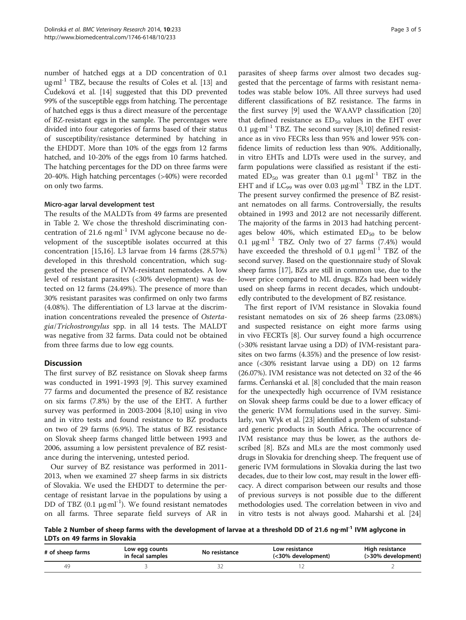number of hatched eggs at a DD concentration of 0.1 ug∙ml-1 TBZ, because the results of Coles et al. [\[13\]](#page-3-0) and Čudeková et al. [[14](#page-3-0)] suggested that this DD prevented 99% of the susceptible eggs from hatching. The percentage of hatched eggs is thus a direct measure of the percentage of BZ-resistant eggs in the sample. The percentages were divided into four categories of farms based of their status of susceptibility/resistance determined by hatching in the EHDDT. More than 10% of the eggs from 12 farms hatched, and 10-20% of the eggs from 10 farms hatched. The hatching percentages for the DD on three farms were 20-40%. High hatching percentages (>40%) were recorded on only two farms.

#### Micro-agar larval development test

The results of the MALDTs from 49 farms are presented in Table 2. We chose the threshold discriminating concentration of 21.6 ng⋅ml<sup>-1</sup> IVM aglycone because no development of the susceptible isolates occurred at this concentration [\[15,16\]](#page-3-0). L3 larvae from 14 farms (28.57%) developed in this threshold concentration, which suggested the presence of IVM-resistant nematodes. A low level of resistant parasites (<30% development) was detected on 12 farms (24.49%). The presence of more than 30% resistant parasites was confirmed on only two farms (4.08%). The differentiation of L3 larvae at the discrimination concentrations revealed the presence of Ostertagia/Trichostrongylus spp. in all 14 tests. The MALDT was negative from 32 farms. Data could not be obtained from three farms due to low egg counts.

#### **Discussion**

The first survey of BZ resistance on Slovak sheep farms was conducted in 1991-1993 [\[9](#page-3-0)]. This survey examined 77 farms and documented the presence of BZ resistance on six farms (7.8%) by the use of the EHT. A further survey was performed in 2003-2004 [\[8,10\]](#page-3-0) using in vivo and in vitro tests and found resistance to BZ products on two of 29 farms (6.9%). The status of BZ resistance on Slovak sheep farms changed little between 1993 and 2006, assuming a low persistent prevalence of BZ resistance during the intervening, untested period.

Our survey of BZ resistance was performed in 2011- 2013, when we examined 27 sheep farms in six districts of Slovakia. We used the EHDDT to determine the percentage of resistant larvae in the populations by using a DD of TBZ  $(0.1 \mu g \cdot ml^{-1})$ . We found resistant nematodes on all farms. Three separate field surveys of AR in

parasites of sheep farms over almost two decades suggested that the percentage of farms with resistant nematodes was stable below 10%. All three surveys had used different classifications of BZ resistance. The farms in the first survey [\[9](#page-3-0)] used the WAAVP classification [[20](#page-4-0)] that defined resistance as  $ED_{50}$  values in the EHT over 0.1 μg∙ml-1 TBZ. The second survey [[8,10\]](#page-3-0) defined resistance as in vivo FECRs less than 95% and lower 95% confidence limits of reduction less than 90%. Additionally, in vitro EHTs and LDTs were used in the survey, and farm populations were classified as resistant if the estimated ED<sub>50</sub> was greater than 0.1  $\mu$ g⋅ml<sup>-1</sup> TBZ in the EHT and if  $LC_{99}$  was over 0.03  $\mu$ g⋅ml<sup>-1</sup> TBZ in the LDT. The present survey confirmed the presence of BZ resistant nematodes on all farms. Controversially, the results obtained in 1993 and 2012 are not necessarily different. The majority of the farms in 2013 had hatching percentages below 40%, which estimated  $ED_{50}$  to be below 0.1 μg∙ml-1 TBZ. Only two of 27 farms (7.4%) would have exceeded the threshold of 0.1 μg∙ml-1 TBZ of the second survey. Based on the questionnaire study of Slovak sheep farms [\[17\]](#page-4-0), BZs are still in common use, due to the lower price compared to ML drugs. BZs had been widely used on sheep farms in recent decades, which undoubtedly contributed to the development of BZ resistance.

The first report of IVM resistance in Slovakia found resistant nematodes on six of 26 sheep farms (23.08%) and suspected resistance on eight more farms using in vivo FECRTs [\[8\]](#page-3-0). Our survey found a high occurrence (>30% resistant larvae using a DD) of IVM-resistant parasites on two farms (4.35%) and the presence of low resistance (<30% resistant larvae using a DD) on 12 farms (26.07%). IVM resistance was not detected on 32 of the 46 farms. Čerňanská et al. [\[8](#page-3-0)] concluded that the main reason for the unexpectedly high occurrence of IVM resistance on Slovak sheep farms could be due to a lower efficacy of the generic IVM formulations used in the survey. Similarly, van Wyk et al. [\[23\]](#page-4-0) identified a problem of substandard generic products in South Africa. The occurrence of IVM resistance may thus be lower, as the authors described [\[8](#page-3-0)]. BZs and MLs are the most commonly used drugs in Slovakia for drenching sheep. The frequent use of generic IVM formulations in Slovakia during the last two decades, due to their low cost, may result in the lower efficacy. A direct comparison between our results and those of previous surveys is not possible due to the different methodologies used. The correlation between in vivo and in vitro tests is not always good. Maharshi et al. [[24](#page-4-0)]

Table 2 Number of sheep farms with the development of larvae at a threshold DD of 21.6 ng⋅ml<sup>-1</sup> IVM aglycone in LDTs on 49 farms in Slovakia

| # of sheep farms | Low egg counts<br>in fecal samples | No resistance | Low resistance<br>(<30% development) | High resistance<br>(>30% development) |
|------------------|------------------------------------|---------------|--------------------------------------|---------------------------------------|
| 4С               |                                    |               |                                      |                                       |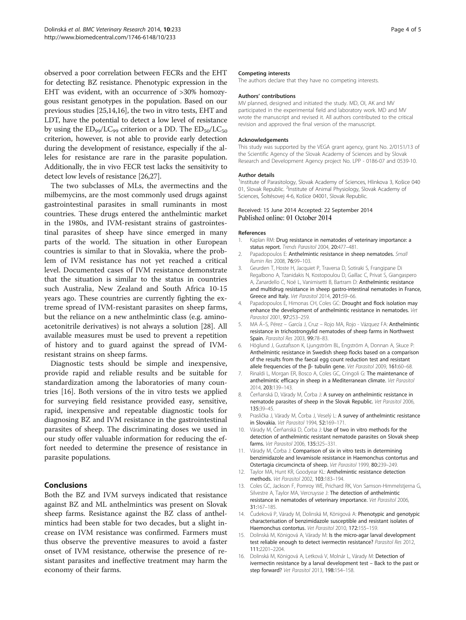<span id="page-3-0"></span>observed a poor correlation between FECRs and the EHT for detecting BZ resistance. Phenotypic expression in the EHT was evident, with an occurrence of >30% homozygous resistant genotypes in the population. Based on our previous studies [[25](#page-4-0),14,16], the two in vitro tests, EHT and LDT, have the potential to detect a low level of resistance by using the  $ED_{99}/LC_{99}$  criterion or a DD. The  $ED_{50}/LC_{50}$ criterion, however, is not able to provide early detection during the development of resistance, especially if the alleles for resistance are rare in the parasite population. Additionally, the in vivo FECR test lacks the sensitivity to detect low levels of resistance [[26,27](#page-4-0)].

The two subclasses of MLs, the avermectins and the milbemycins, are the most commonly used drugs against gastrointestinal parasites in small ruminants in most countries. These drugs entered the anthelmintic market in the 1980s, and IVM-resistant strains of gastrointestinal parasites of sheep have since emerged in many parts of the world. The situation in other European countries is similar to that in Slovakia, where the problem of IVM resistance has not yet reached a critical level. Documented cases of IVM resistance demonstrate that the situation is similar to the status in countries such Australia, New Zealand and South Africa 10-15 years ago. These countries are currently fighting the extreme spread of IVM-resistant parasites on sheep farms, but the reliance on a new anthelmintic class (e.g. aminoacetonitrile derivatives) is not always a solution [[28\]](#page-4-0). All available measures must be used to prevent a repetition of history and to guard against the spread of IVMresistant strains on sheep farms.

Diagnostic tests should be simple and inexpensive, provide rapid and reliable results and be suitable for standardization among the laboratories of many countries [16]. Both versions of the in vitro tests we applied for surveying field resistance provided easy, sensitive, rapid, inexpensive and repeatable diagnostic tools for diagnosing BZ and IVM resistance in the gastrointestinal parasites of sheep. The discriminating doses we used in our study offer valuable information for reducing the effort needed to determine the presence of resistance in parasite populations.

# **Conclusions**

Both the BZ and IVM surveys indicated that resistance against BZ and ML anthelmintics was present on Slovak sheep farms. Resistance against the BZ class of anthelmintics had been stable for two decades, but a slight increase on IVM resistance was confirmed. Farmers must thus observe the preventive measures to avoid a faster onset of IVM resistance, otherwise the presence of resistant parasites and ineffective treatment may harm the economy of their farms.

#### Competing interests

The authors declare that they have no competing interests.

#### Authors' contributions

MV planned, designed and initiated the study. MD, OI, AK and MV participated in the experimental field and laboratory work. MD and MV wrote the manuscript and revised it. All authors contributed to the critical revision and approved the final version of the manuscript.

#### Acknowledgements

This study was supported by the VEGA grant agency, grant No. 2/0151/13 of the Scientific Agency of the Slovak Academy of Sciences and by Slovak Research and Development Agency project No. LPP - 0186-07 and 0539-10.

#### Author details

<sup>1</sup>Institute of Parasitology, Slovak Academy of Sciences, Hlinkova 3, Košice 040 01, Slovak Republic. <sup>2</sup>Institute of Animal Physiology, Slovak Academy of Sciences, Šoltésovej 4-6, Košice 04001, Slovak Republic.

#### Received: 15 June 2014 Accepted: 22 September 2014 Published online: 01 October 2014

#### References

- 1. Kaplan RM: Drug resistance in nematodes of veterinary importance: a status report. Trends Parasitol 2004, 20:477–481.
- 2. Papadopoulos E: Anthelmintic resistance in sheep nematodes. Small Rumin Res 2008, 76:99–103.
- 3. Geurden T, Hoste H, Jacquiet P, Traversa D, Sotiraki S, Frangipane Di Regalbono A, Tzanidakis N, Kostopoulou D, Gaillac C, Privat S, Giangaspero A, Zanardello C, Noé L, Vanimisetti B, Bartram D: Anthelmintic resistance and multidrug resistance in sheep gastro-intestinal nematodes in France, Greece and Italy. Vet Parasitol 2014, 201:59–66.
- 4. Papadopoulos E, Himonas CH, Coles GC: Drought and flock isolation may enhance the development of anthelmintic resistance in nematodes. Vet Parasitol 2001, 97:253–259.
- 5. MA Á-S, Pérez García J, Cruz Rojo MA, Rojo Vázquez FA: Anthelmintic resistance in trichostrongylid nematodes of sheep farms in Northwest Spain. Parasitol Res 2003, 99:78–83.
- 6. Höglund J, Gustafsson K, Ljungström BL, Engström A, Donnan A, Skuce P: Anthelmintic resistance in Swedish sheep flocks based on a comparison of the results from the faecal egg count reduction test and resistant allele frequencies of the β- tubulin gene. Vet Parasitol 2009, 161:60–68.
- 7. Rinaldi L, Morgan ER, Bosco A, Coles GC, Cringoli G: The maintenance of anthelmintic efficacy in sheep in a Mediterranean climate. Vet Parasitol 2014, 203:139–143.
- 8. Čerňanská D, Várady M, Čorba J: A survey on anthelmintic resistance in nematode parasites of sheep in the Slovak Republic. Vet Parasitol 2006, 135:39–45.
- 9. Praslička J, Várady M, Čorba J, Veselý L: A survey of anthelmintic resistance in Slovakia. Vet Parasitol 1994, 52:169–171.
- 10. Várady M, Čerňanská D, Čorba J: Use of two in vitro methods for the detection of anthelmintic resistant nematode parasites on Slovak sheep farms. Vet Parasitol 2006, 135:325–331.
- 11. Várady M, Čorba J: Comparison of six in vitro tests in determining benzimidazole and levamisole resistance in Haemonchus contortus and Ostertagia circumcincta of sheep. Vet Parasitol 1999, 80:239–249.
- 12. Taylor MA, Hunt KR, Goodyear KL: Anthelmintic resistance detection methods. Vet Parasitol 2002, 103:183–194.
- 13. Coles GC, Jackson F, Pomroy WE, Prichard RK, Von Samson-Himmelstjerna G, Silvestre A, Taylor MA, Vercruysse J: The detection of anthelmintic resistance in nematodes of veterinary importance. Vet Parasitol 2006, 31:167–185.
- 14. Čudeková P, Várady M, Dolinská M, Königová A: Phenotypic and genotypic characterisation of benzimidazole susceptible and resistant isolates of Haemonchus contortus. Vet Parasitol 2010, 172:155-159.
- 15. Dolinská M, Königová A, Várady M: Is the micro-agar larval development test reliable enough to detect ivermectin resistance? Parasitol Res 2012, 111:2201–2204.
- 16. Dolinská M, Königová A, Letková V, Molnár L, Várady M: Detection of ivermectin resistance by a larval development test – Back to the past or step forward? Vet Parasitol 2013, 198:154–158.